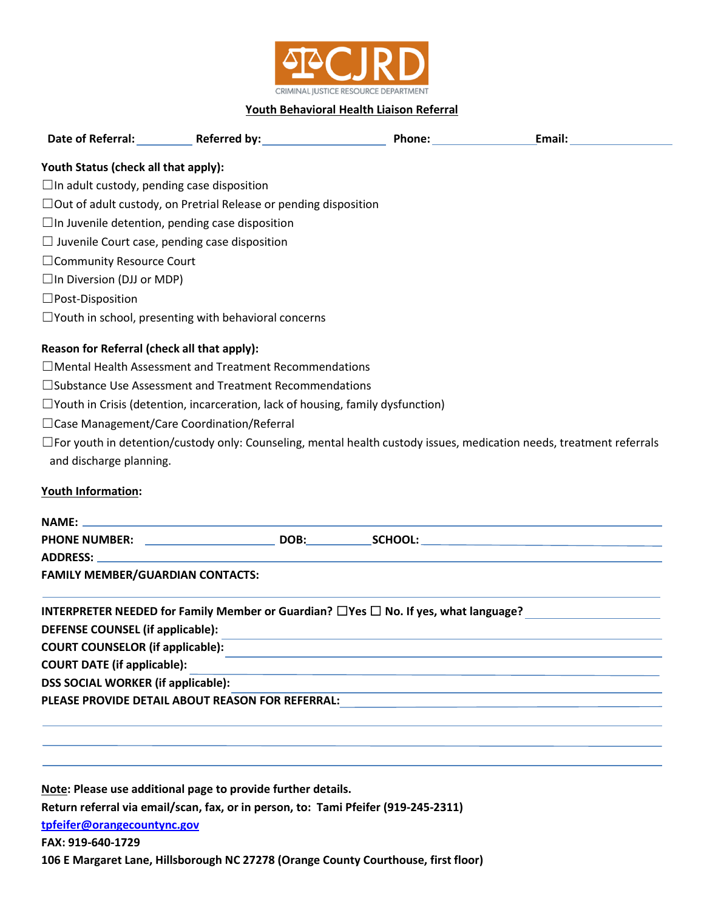

## **Youth Behavioral Health Liaison Referral**

| <b>Date of Referral:</b>             | <b>Referred by:</b> | Phone: | Email: |
|--------------------------------------|---------------------|--------|--------|
| Youth Status (check all that annly): |                     |        |        |

**Youth Status (check all that apply):**

 $\Box$ In adult custody, pending case disposition

☐Out of adult custody, on Pretrial Release or pending disposition

 $\Box$ In Juvenile detention, pending case disposition

 $\Box$  Juvenile Court case, pending case disposition

□Community Resource Court

 $\Box$ In Diversion (DJJ or MDP)

☐Post-Disposition

 $\Box$ Youth in school, presenting with behavioral concerns

## **Reason for Referral (check all that apply):**

☐Mental Health Assessment and Treatment Recommendations

☐Substance Use Assessment and Treatment Recommendations

☐Youth in Crisis (detention, incarceration, lack of housing, family dysfunction)

☐Case Management/Care Coordination/Referral

☐For youth in detention/custody only: Counseling, mental health custody issues, medication needs, treatment referrals and discharge planning.

## **Youth Information:**

|                                                  | DOB: | SCHOOL:                                                                                        |  |
|--------------------------------------------------|------|------------------------------------------------------------------------------------------------|--|
| ADDRESS: ADDRESS:                                |      |                                                                                                |  |
| <b>FAMILY MEMBER/GUARDIAN CONTACTS:</b>          |      |                                                                                                |  |
|                                                  |      | INTERPRETER NEEDED for Family Member or Guardian? $\Box$ Yes $\Box$ No. If yes, what language? |  |
| <b>DEFENSE COUNSEL (if applicable):</b>          |      |                                                                                                |  |
| <b>COURT COUNSELOR (if applicable):</b>          |      |                                                                                                |  |
| <b>COURT DATE (if applicable):</b>               |      |                                                                                                |  |
| <b>DSS SOCIAL WORKER (if applicable):</b>        |      |                                                                                                |  |
| PLEASE PROVIDE DETAIL ABOUT REASON FOR REFERRAL: |      |                                                                                                |  |
|                                                  |      |                                                                                                |  |
|                                                  |      |                                                                                                |  |
|                                                  |      |                                                                                                |  |

**Note: Please use additional page to provide further details. Return referral via email/scan, fax, or in person, to: Tami Pfeifer (919-245-2311) [tpfeifer@orangecountync.gov](mailto:tpfeifer@orangecountync.gov) FAX: 919-640-1729** 

**106 E Margaret Lane, Hillsborough NC 27278 (Orange County Courthouse, first floor)**